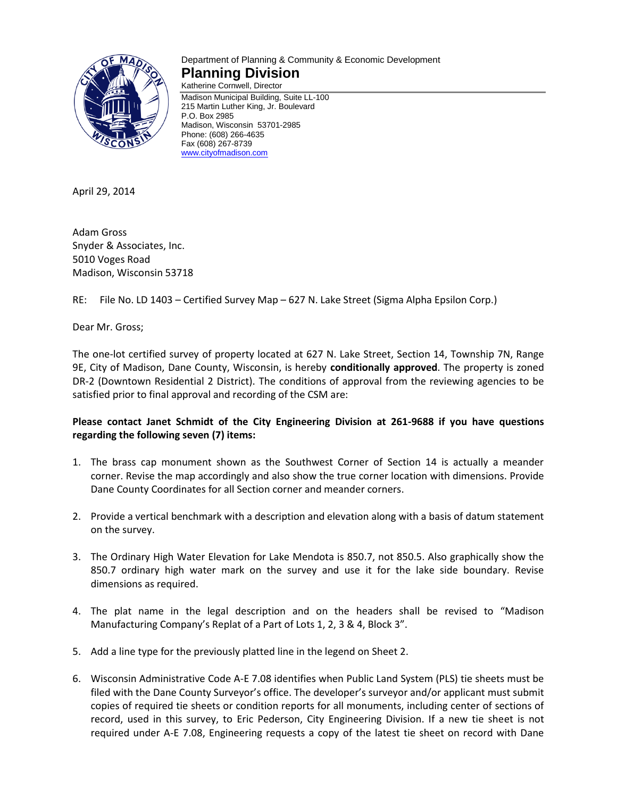

# Department of Planning & Community & Economic Development **Planning Division**

Katherine Cornwell, Director Madison Municipal Building, Suite LL-100 215 Martin Luther King, Jr. Boulevard P.O. Box 2985 Madison, Wisconsin 53701-2985 Phone: (608) 266-4635 Fax (608) 267-8739 [www.cityofmadison.com](http://www.cityofmadison.com/)

April 29, 2014

Adam Gross Snyder & Associates, Inc. 5010 Voges Road Madison, Wisconsin 53718

RE: File No. LD 1403 – Certified Survey Map – 627 N. Lake Street (Sigma Alpha Epsilon Corp.)

Dear Mr. Gross;

The one-lot certified survey of property located at 627 N. Lake Street, Section 14, Township 7N, Range 9E, City of Madison, Dane County, Wisconsin, is hereby **conditionally approved**. The property is zoned DR-2 (Downtown Residential 2 District). The conditions of approval from the reviewing agencies to be satisfied prior to final approval and recording of the CSM are:

## **Please contact Janet Schmidt of the City Engineering Division at 261-9688 if you have questions regarding the following seven (7) items:**

- 1. The brass cap monument shown as the Southwest Corner of Section 14 is actually a meander corner. Revise the map accordingly and also show the true corner location with dimensions. Provide Dane County Coordinates for all Section corner and meander corners.
- 2. Provide a vertical benchmark with a description and elevation along with a basis of datum statement on the survey.
- 3. The Ordinary High Water Elevation for Lake Mendota is 850.7, not 850.5. Also graphically show the 850.7 ordinary high water mark on the survey and use it for the lake side boundary. Revise dimensions as required.
- 4. The plat name in the legal description and on the headers shall be revised to "Madison Manufacturing Company's Replat of a Part of Lots 1, 2, 3 & 4, Block 3".
- 5. Add a line type for the previously platted line in the legend on Sheet 2.
- 6. Wisconsin Administrative Code A-E 7.08 identifies when Public Land System (PLS) tie sheets must be filed with the Dane County Surveyor's office. The developer's surveyor and/or applicant must submit copies of required tie sheets or condition reports for all monuments, including center of sections of record, used in this survey, to Eric Pederson, City Engineering Division. If a new tie sheet is not required under A-E 7.08, Engineering requests a copy of the latest tie sheet on record with Dane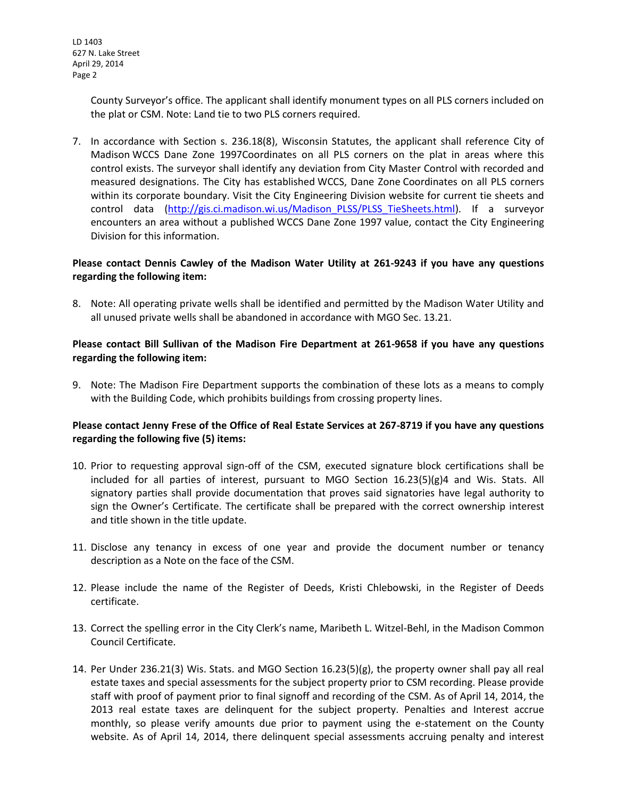LD 1403 627 N. Lake Street April 29, 2014 Page 2

> County Surveyor's office. The applicant shall identify monument types on all PLS corners included on the plat or CSM. Note: Land tie to two PLS corners required.

7. In accordance with Section s. 236.18(8), Wisconsin Statutes, the applicant shall reference City of Madison WCCS Dane Zone 1997Coordinates on all PLS corners on the plat in areas where this control exists. The surveyor shall identify any deviation from City Master Control with recorded and measured designations. The City has established WCCS, Dane Zone Coordinates on all PLS corners within its corporate boundary. Visit the City Engineering Division website for current tie sheets and control data (http://gis.ci.madison.wi.us/Madison PLSS/PLSS TieSheets.html). If a surveyor encounters an area without a published WCCS Dane Zone 1997 value, contact the City Engineering Division for this information.

### **Please contact Dennis Cawley of the Madison Water Utility at 261-9243 if you have any questions regarding the following item:**

8. Note: All operating private wells shall be identified and permitted by the Madison Water Utility and all unused private wells shall be abandoned in accordance with MGO Sec. 13.21.

## **Please contact Bill Sullivan of the Madison Fire Department at 261-9658 if you have any questions regarding the following item:**

9. Note: The Madison Fire Department supports the combination of these lots as a means to comply with the Building Code, which prohibits buildings from crossing property lines.

### **Please contact Jenny Frese of the Office of Real Estate Services at 267-8719 if you have any questions regarding the following five (5) items:**

- 10. Prior to requesting approval sign-off of the CSM, executed signature block certifications shall be included for all parties of interest, pursuant to MGO Section  $16.23(5)(g)$ 4 and Wis. Stats. All signatory parties shall provide documentation that proves said signatories have legal authority to sign the Owner's Certificate. The certificate shall be prepared with the correct ownership interest and title shown in the title update.
- 11. Disclose any tenancy in excess of one year and provide the document number or tenancy description as a Note on the face of the CSM.
- 12. Please include the name of the Register of Deeds, Kristi Chlebowski, in the Register of Deeds certificate.
- 13. Correct the spelling error in the City Clerk's name, Maribeth L. Witzel-Behl, in the Madison Common Council Certificate.
- 14. Per Under 236.21(3) Wis. Stats. and MGO Section 16.23(5)(g), the property owner shall pay all real estate taxes and special assessments for the subject property prior to CSM recording. Please provide staff with proof of payment prior to final signoff and recording of the CSM. As of April 14, 2014, the 2013 real estate taxes are delinquent for the subject property. Penalties and Interest accrue monthly, so please verify amounts due prior to payment using the e-statement on the County website. As of April 14, 2014, there delinquent special assessments accruing penalty and interest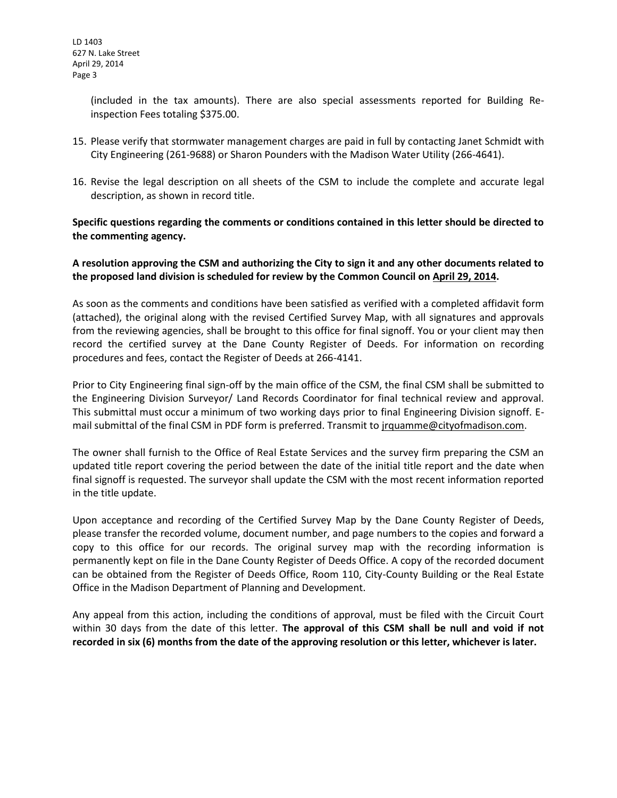LD 1403 627 N. Lake Street April 29, 2014 Page 3

> (included in the tax amounts). There are also special assessments reported for Building Reinspection Fees totaling \$375.00.

- 15. Please verify that stormwater management charges are paid in full by contacting Janet Schmidt with City Engineering (261-9688) or Sharon Pounders with the Madison Water Utility (266-4641).
- 16. Revise the legal description on all sheets of the CSM to include the complete and accurate legal description, as shown in record title.

## **Specific questions regarding the comments or conditions contained in this letter should be directed to the commenting agency.**

### **A resolution approving the CSM and authorizing the City to sign it and any other documents related to the proposed land division is scheduled for review by the Common Council on April 29, 2014.**

As soon as the comments and conditions have been satisfied as verified with a completed affidavit form (attached), the original along with the revised Certified Survey Map, with all signatures and approvals from the reviewing agencies, shall be brought to this office for final signoff. You or your client may then record the certified survey at the Dane County Register of Deeds. For information on recording procedures and fees, contact the Register of Deeds at 266-4141.

Prior to City Engineering final sign-off by the main office of the CSM, the final CSM shall be submitted to the Engineering Division Surveyor/ Land Records Coordinator for final technical review and approval. This submittal must occur a minimum of two working days prior to final Engineering Division signoff. Email submittal of the final CSM in PDF form is preferred. Transmit to jrquamme@cityofmadison.com.

The owner shall furnish to the Office of Real Estate Services and the survey firm preparing the CSM an updated title report covering the period between the date of the initial title report and the date when final signoff is requested. The surveyor shall update the CSM with the most recent information reported in the title update.

Upon acceptance and recording of the Certified Survey Map by the Dane County Register of Deeds, please transfer the recorded volume, document number, and page numbers to the copies and forward a copy to this office for our records. The original survey map with the recording information is permanently kept on file in the Dane County Register of Deeds Office. A copy of the recorded document can be obtained from the Register of Deeds Office, Room 110, City-County Building or the Real Estate Office in the Madison Department of Planning and Development.

Any appeal from this action, including the conditions of approval, must be filed with the Circuit Court within 30 days from the date of this letter. **The approval of this CSM shall be null and void if not recorded in six (6) months from the date of the approving resolution or this letter, whichever is later.**